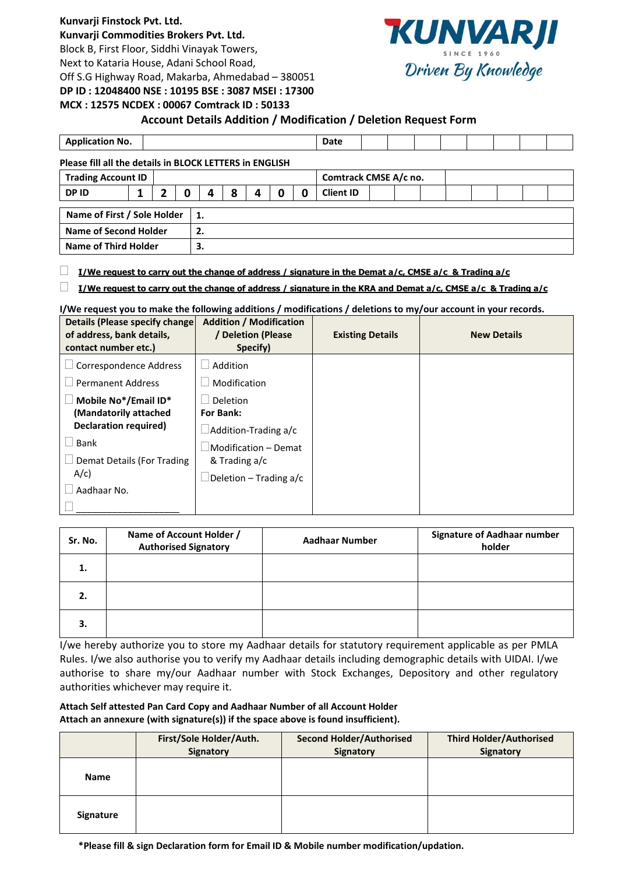## **Kunvarji Finstock Pvt. Ltd.**

**Kunvarji Commodities Brokers Pvt. Ltd.**

Block B, First Floor, Siddhi Vinayak Towers,

Next to Kataria House, Adani School Road,

Off S.G Highway Road, Makarba, Ahmedabad – 380051



#### **DP ID : 12048400 NSE : 10195 BSE : 3087 MSEI : 17300 MCX : 12575 NCDEX : 00067 Comtrack ID : 50133**

## **Account Details Addition / Modification / Deletion Request Form**

| <b>Application No.</b>                                  |   |                      |   |    |  |   |   | Date             |  |                       |  |  |  |
|---------------------------------------------------------|---|----------------------|---|----|--|---|---|------------------|--|-----------------------|--|--|--|
| Please fill all the details in BLOCK LETTERS in ENGLISH |   |                      |   |    |  |   |   |                  |  |                       |  |  |  |
| <b>Trading Account ID</b>                               |   |                      |   |    |  |   |   |                  |  |                       |  |  |  |
|                                                         | 7 | 0                    | 4 | 8  |  | 0 | 0 | <b>Client ID</b> |  |                       |  |  |  |
| Name of First / Sole Holder<br>1.                       |   |                      |   |    |  |   |   |                  |  |                       |  |  |  |
| <b>Name of Second Holder</b><br>2.                      |   |                      |   |    |  |   |   |                  |  |                       |  |  |  |
|                                                         |   |                      |   |    |  |   |   |                  |  |                       |  |  |  |
|                                                         |   | Name of Third Holder |   | 3. |  |   |   |                  |  | Comtrack CMSE A/c no. |  |  |  |

## **I/We request to carry out the change of address / signature in the Demat a/c, CMSE a/c & Trading a/c**

## **I/We request to carry out the change of address / signature in the KRA and Demat a/c, CMSE a/c & Trading a/c**

**I/We request you to make the following additions / modifications / deletions to my/our account in your records.**

| Details (Please specify change)<br>of address, bank details,<br>contact number etc.) | <b>Addition / Modification</b><br>/ Deletion (Please<br>Specify) | <b>Existing Details</b> | <b>New Details</b> |
|--------------------------------------------------------------------------------------|------------------------------------------------------------------|-------------------------|--------------------|
| Correspondence Address                                                               | Addition                                                         |                         |                    |
| <b>Permanent Address</b>                                                             | Modification                                                     |                         |                    |
| Mobile No*/Email ID*<br>(Mandatorily attached                                        | <b>Deletion</b><br><b>For Bank:</b>                              |                         |                    |
| <b>Declaration required)</b>                                                         | $\Box$ Addition-Trading a/c                                      |                         |                    |
| Bank                                                                                 | Modification - Demat                                             |                         |                    |
| Demat Details (For Trading                                                           | & Trading a/c                                                    |                         |                    |
| $A/c$ )                                                                              | Deletion – Trading a/c                                           |                         |                    |
| Aadhaar No.                                                                          |                                                                  |                         |                    |
|                                                                                      |                                                                  |                         |                    |

| Sr. No. | Name of Account Holder /<br><b>Authorised Signatory</b> | <b>Aadhaar Number</b> | <b>Signature of Aadhaar number</b><br>holder |
|---------|---------------------------------------------------------|-----------------------|----------------------------------------------|
| 1.      |                                                         |                       |                                              |
| 2.      |                                                         |                       |                                              |
| 3.      |                                                         |                       |                                              |

I/we hereby authorize you to store my Aadhaar details for statutory requirement applicable as per PMLA Rules. I/we also authorise you to verify my Aadhaar details including demographic details with UIDAI. I/we authorise to share my/our Aadhaar number with Stock Exchanges, Depository and other regulatory authorities whichever may require it.

### **Attach Self attested Pan Card Copy and Aadhaar Number of all Account Holder Attach an annexure (with signature(s)) if the space above is found insufficient).**

|                  | First/Sole Holder/Auth.<br><b>Signatory</b> | <b>Second Holder/Authorised</b><br>Signatory | <b>Third Holder/Authorised</b><br>Signatory |
|------------------|---------------------------------------------|----------------------------------------------|---------------------------------------------|
| <b>Name</b>      |                                             |                                              |                                             |
| <b>Signature</b> |                                             |                                              |                                             |

**\*Please fill & sign Declaration form for Email ID & Mobile number modification/updation.**